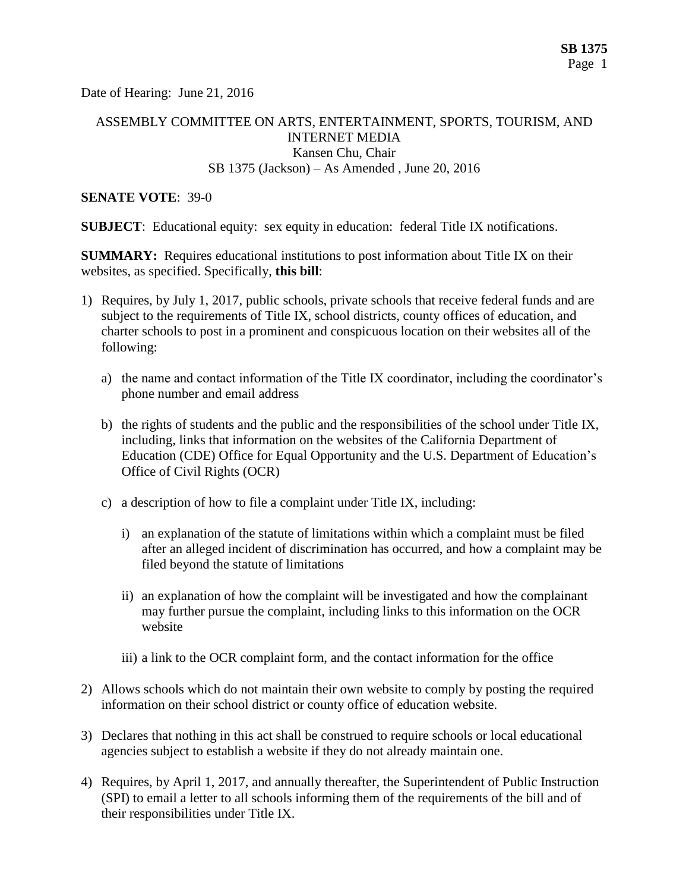Date of Hearing: June 21, 2016

# ASSEMBLY COMMITTEE ON ARTS, ENTERTAINMENT, SPORTS, TOURISM, AND INTERNET MEDIA Kansen Chu, Chair SB 1375 (Jackson) – As Amended , June 20, 2016

#### **SENATE VOTE**: 39-0

**SUBJECT:** Educational equity: sex equity in education: federal Title IX notifications.

**SUMMARY:** Requires educational institutions to post information about Title IX on their websites, as specified. Specifically, **this bill**:

- 1) Requires, by July 1, 2017, public schools, private schools that receive federal funds and are subject to the requirements of Title IX, school districts, county offices of education, and charter schools to post in a prominent and conspicuous location on their websites all of the following:
	- a) the name and contact information of the Title IX coordinator, including the coordinator's phone number and email address
	- b) the rights of students and the public and the responsibilities of the school under Title IX, including, links that information on the websites of the California Department of Education (CDE) Office for Equal Opportunity and the U.S. Department of Education's Office of Civil Rights (OCR)
	- c) a description of how to file a complaint under Title IX, including:
		- i) an explanation of the statute of limitations within which a complaint must be filed after an alleged incident of discrimination has occurred, and how a complaint may be filed beyond the statute of limitations
		- ii) an explanation of how the complaint will be investigated and how the complainant may further pursue the complaint, including links to this information on the OCR website
		- iii) a link to the OCR complaint form, and the contact information for the office
- 2) Allows schools which do not maintain their own website to comply by posting the required information on their school district or county office of education website.
- 3) Declares that nothing in this act shall be construed to require schools or local educational agencies subject to establish a website if they do not already maintain one.
- 4) Requires, by April 1, 2017, and annually thereafter, the Superintendent of Public Instruction (SPI) to email a letter to all schools informing them of the requirements of the bill and of their responsibilities under Title IX.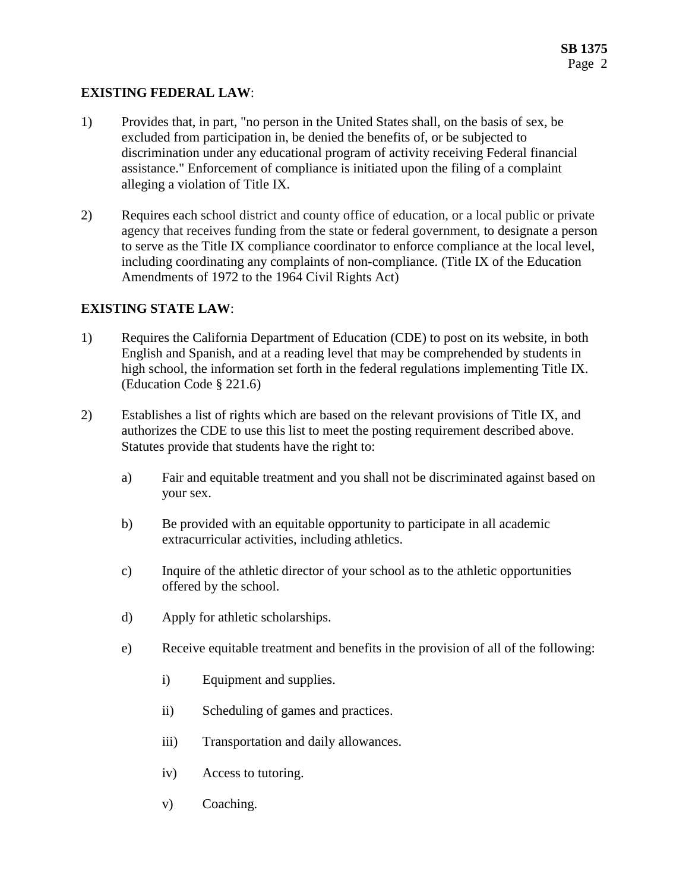### **EXISTING FEDERAL LAW**:

- 1) Provides that, in part, "no person in the United States shall, on the basis of sex, be excluded from participation in, be denied the benefits of, or be subjected to discrimination under any educational program of activity receiving Federal financial assistance." Enforcement of compliance is initiated upon the filing of a complaint alleging a violation of Title IX.
- 2) Requires each school district and county office of education, or a local public or private agency that receives funding from the state or federal government, to designate a person to serve as the Title IX compliance coordinator to enforce compliance at the local level, including coordinating any complaints of non-compliance. (Title IX of the Education Amendments of 1972 to the 1964 Civil Rights Act)

### **EXISTING STATE LAW**:

- 1) Requires the California Department of Education (CDE) to post on its website, in both English and Spanish, and at a reading level that may be comprehended by students in high school, the information set forth in the federal regulations implementing Title IX. (Education Code § 221.6)
- 2) Establishes a list of rights which are based on the relevant provisions of Title IX, and authorizes the CDE to use this list to meet the posting requirement described above. Statutes provide that students have the right to:
	- a) Fair and equitable treatment and you shall not be discriminated against based on your sex.
	- b) Be provided with an equitable opportunity to participate in all academic extracurricular activities, including athletics.
	- c) Inquire of the athletic director of your school as to the athletic opportunities offered by the school.
	- d) Apply for athletic scholarships.
	- e) Receive equitable treatment and benefits in the provision of all of the following:
		- i) Equipment and supplies.
		- ii) Scheduling of games and practices.
		- iii) Transportation and daily allowances.
		- iv) Access to tutoring.
		- v) Coaching.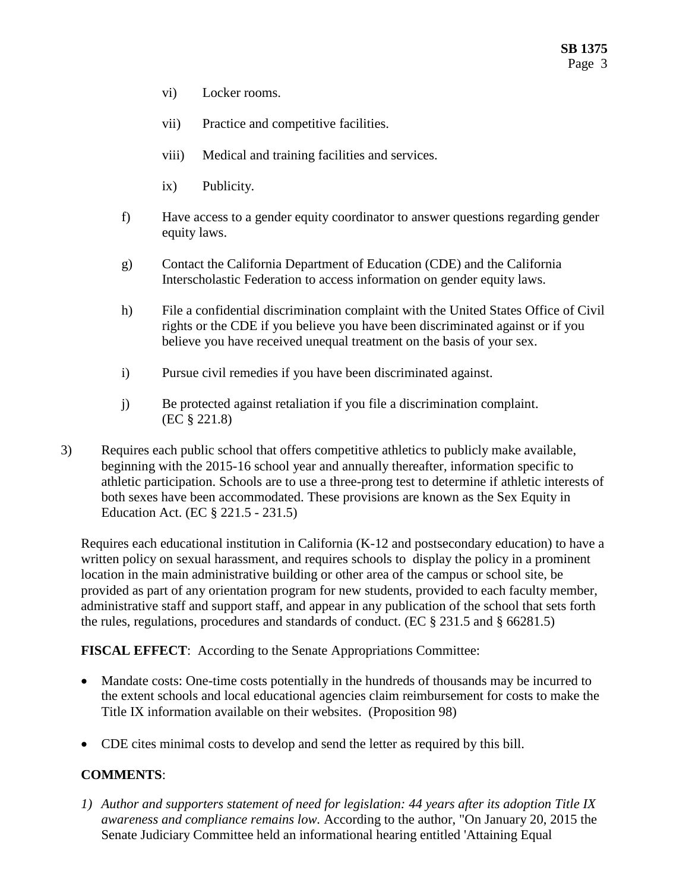- vi) Locker rooms.
- vii) Practice and competitive facilities.
- viii) Medical and training facilities and services.
- ix) Publicity.
- f) Have access to a gender equity coordinator to answer questions regarding gender equity laws.
- g) Contact the California Department of Education (CDE) and the California Interscholastic Federation to access information on gender equity laws.
- h) File a confidential discrimination complaint with the United States Office of Civil rights or the CDE if you believe you have been discriminated against or if you believe you have received unequal treatment on the basis of your sex.
- i) Pursue civil remedies if you have been discriminated against.
- j) Be protected against retaliation if you file a discrimination complaint. (EC § 221.8)
- 3) Requires each public school that offers competitive athletics to publicly make available, beginning with the 2015-16 school year and annually thereafter, information specific to athletic participation. Schools are to use a three-prong test to determine if athletic interests of both sexes have been accommodated. These provisions are known as the Sex Equity in Education Act. (EC § 221.5 - 231.5)

Requires each educational institution in California (K-12 and postsecondary education) to have a written policy on sexual harassment, and requires schools to display the policy in a prominent location in the main administrative building or other area of the campus or school site, be provided as part of any orientation program for new students, provided to each faculty member, administrative staff and support staff, and appear in any publication of the school that sets forth the rules, regulations, procedures and standards of conduct. (EC § 231.5 and § 66281.5)

**FISCAL EFFECT**: According to the Senate Appropriations Committee:

- Mandate costs: One-time costs potentially in the hundreds of thousands may be incurred to the extent schools and local educational agencies claim reimbursement for costs to make the Title IX information available on their websites. (Proposition 98)
- CDE cites minimal costs to develop and send the letter as required by this bill.

## **COMMENTS**:

*1) Author and supporters statement of need for legislation: 44 years after its adoption Title IX awareness and compliance remains low.* According to the author, "On January 20, 2015 the Senate Judiciary Committee held an informational hearing entitled 'Attaining Equal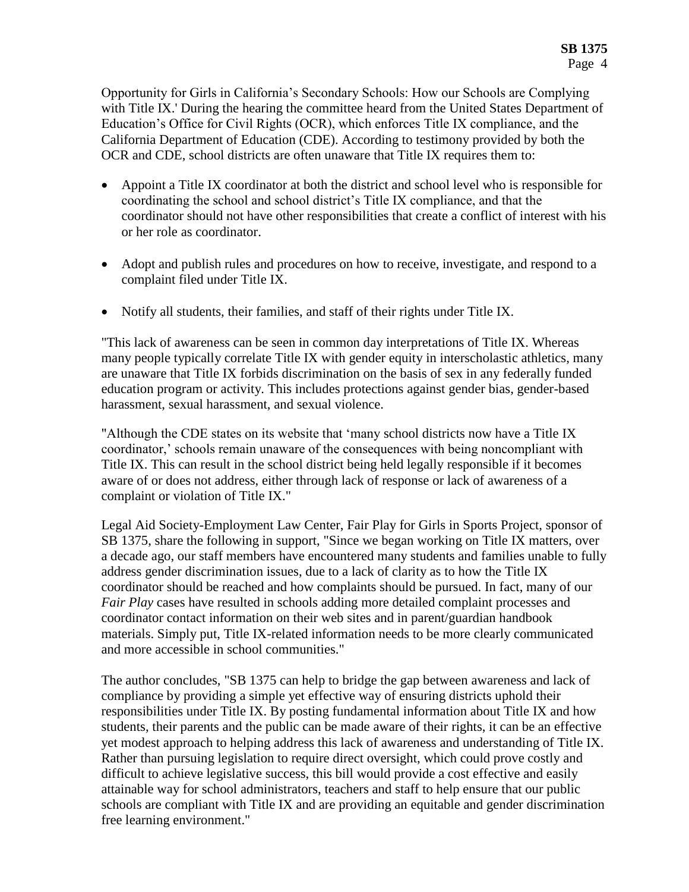Opportunity for Girls in California's Secondary Schools: How our Schools are Complying with Title IX.' During the hearing the committee heard from the United States Department of Education's Office for Civil Rights (OCR), which enforces Title IX compliance, and the California Department of Education (CDE). According to testimony provided by both the OCR and CDE, school districts are often unaware that Title IX requires them to:

- Appoint a Title IX coordinator at both the district and school level who is responsible for coordinating the school and school district's Title IX compliance, and that the coordinator should not have other responsibilities that create a conflict of interest with his or her role as coordinator.
- Adopt and publish rules and procedures on how to receive, investigate, and respond to a complaint filed under Title IX.
- Notify all students, their families, and staff of their rights under Title IX.

"This lack of awareness can be seen in common day interpretations of Title IX. Whereas many people typically correlate Title IX with gender equity in interscholastic athletics, many are unaware that Title IX forbids discrimination on the basis of sex in any federally funded education program or activity. This includes protections against gender bias, gender-based harassment, sexual harassment, and sexual violence.

"Although the CDE states on its website that 'many school districts now have a Title IX coordinator,' schools remain unaware of the consequences with being noncompliant with Title IX. This can result in the school district being held legally responsible if it becomes aware of or does not address, either through lack of response or lack of awareness of a complaint or violation of Title IX."

Legal Aid Society-Employment Law Center, Fair Play for Girls in Sports Project, sponsor of SB 1375, share the following in support, "Since we began working on Title IX matters, over a decade ago, our staff members have encountered many students and families unable to fully address gender discrimination issues, due to a lack of clarity as to how the Title IX coordinator should be reached and how complaints should be pursued. In fact, many of our *Fair Play* cases have resulted in schools adding more detailed complaint processes and coordinator contact information on their web sites and in parent/guardian handbook materials. Simply put, Title IX-related information needs to be more clearly communicated and more accessible in school communities."

The author concludes, "SB 1375 can help to bridge the gap between awareness and lack of compliance by providing a simple yet effective way of ensuring districts uphold their responsibilities under Title IX. By posting fundamental information about Title IX and how students, their parents and the public can be made aware of their rights, it can be an effective yet modest approach to helping address this lack of awareness and understanding of Title IX. Rather than pursuing legislation to require direct oversight, which could prove costly and difficult to achieve legislative success, this bill would provide a cost effective and easily attainable way for school administrators, teachers and staff to help ensure that our public schools are compliant with Title IX and are providing an equitable and gender discrimination free learning environment."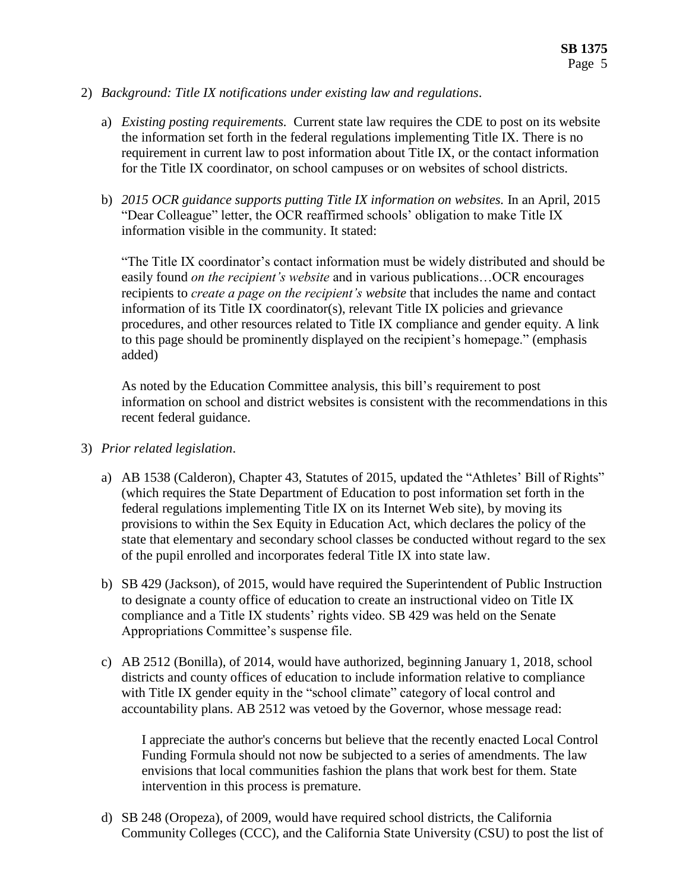- 2) *Background: Title IX notifications under existing law and regulations*.
	- a) *Existing posting requirements.* Current state law requires the CDE to post on its website the information set forth in the federal regulations implementing Title IX. There is no requirement in current law to post information about Title IX, or the contact information for the Title IX coordinator, on school campuses or on websites of school districts.
	- b) *2015 OCR guidance supports putting Title IX information on websites.* In an April, 2015 "Dear Colleague" letter, the OCR reaffirmed schools' obligation to make Title IX information visible in the community. It stated:

"The Title IX coordinator's contact information must be widely distributed and should be easily found *on the recipient's website* and in various publications…OCR encourages recipients to *create a page on the recipient's website* that includes the name and contact information of its Title IX coordinator(s), relevant Title IX policies and grievance procedures, and other resources related to Title IX compliance and gender equity. A link to this page should be prominently displayed on the recipient's homepage." (emphasis added)

As noted by the Education Committee analysis, this bill's requirement to post information on school and district websites is consistent with the recommendations in this recent federal guidance.

- 3) *Prior related legislation*.
	- a) AB 1538 (Calderon), Chapter 43, Statutes of 2015, updated the "Athletes' Bill of Rights" (which requires the State Department of Education to post information set forth in the federal regulations implementing Title IX on its Internet Web site), by moving its provisions to within the Sex Equity in Education Act, which declares the policy of the state that elementary and secondary school classes be conducted without regard to the sex of the pupil enrolled and incorporates federal Title IX into state law.
	- b) SB 429 (Jackson), of 2015, would have required the Superintendent of Public Instruction to designate a county office of education to create an instructional video on Title IX compliance and a Title IX students' rights video. SB 429 was held on the Senate Appropriations Committee's suspense file.
	- c) AB 2512 (Bonilla), of 2014, would have authorized, beginning January 1, 2018, school districts and county offices of education to include information relative to compliance with Title IX gender equity in the "school climate" category of local control and accountability plans. AB 2512 was vetoed by the Governor, whose message read:

I appreciate the author's concerns but believe that the recently enacted Local Control Funding Formula should not now be subjected to a series of amendments. The law envisions that local communities fashion the plans that work best for them. State intervention in this process is premature.

d) SB 248 (Oropeza), of 2009, would have required school districts, the California Community Colleges (CCC), and the California State University (CSU) to post the list of